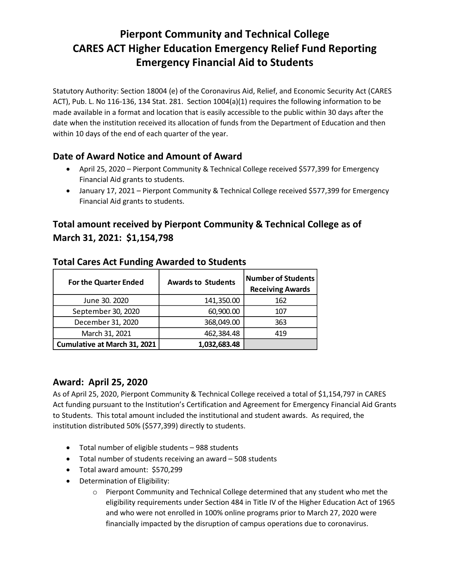# **Pierpont Community and Technical College CARES ACT Higher Education Emergency Relief Fund Reporting Emergency Financial Aid to Students**

Statutory Authority: Section 18004 (e) of the Coronavirus Aid, Relief, and Economic Security Act (CARES ACT), Pub. L. No 116-136, 134 Stat. 281. Section 1004(a)(1) requires the following information to be made available in a format and location that is easily accessible to the public within 30 days after the date when the institution received its allocation of funds from the Department of Education and then within 10 days of the end of each quarter of the year.

## **Date of Award Notice and Amount of Award**

- April 25, 2020 Pierpont Community & Technical College received \$577,399 for Emergency Financial Aid grants to students.
- January 17, 2021 Pierpont Community & Technical College received \$577,399 for Emergency Financial Aid grants to students.

# **Total amount received by Pierpont Community & Technical College as of March 31, 2021: \$1,154,798**

| <b>For the Quarter Ended</b>        | <b>Awards to Students</b> | <b>Number of Students</b><br><b>Receiving Awards</b> |
|-------------------------------------|---------------------------|------------------------------------------------------|
| June 30. 2020                       | 141,350.00                | 162                                                  |
| September 30, 2020                  | 60,900.00                 | 107                                                  |
| December 31, 2020                   | 368,049.00                | 363                                                  |
| March 31, 2021                      | 462,384.48                | 419                                                  |
| <b>Cumulative at March 31, 2021</b> | 1,032,683.48              |                                                      |

### **Total Cares Act Funding Awarded to Students**

### **Award: April 25, 2020**

As of April 25, 2020, Pierpont Community & Technical College received a total of \$1,154,797 in CARES Act funding pursuant to the Institution's Certification and Agreement for Emergency Financial Aid Grants to Students. This total amount included the institutional and student awards. As required, the institution distributed 50% (\$577,399) directly to students.

- Total number of eligible students 988 students
- Total number of students receiving an award 508 students
- Total award amount: \$570,299
- Determination of Eligibility:
	- o Pierpont Community and Technical College determined that any student who met the eligibility requirements under Section 484 in Title IV of the Higher Education Act of 1965 and who were not enrolled in 100% online programs prior to March 27, 2020 were financially impacted by the disruption of campus operations due to coronavirus.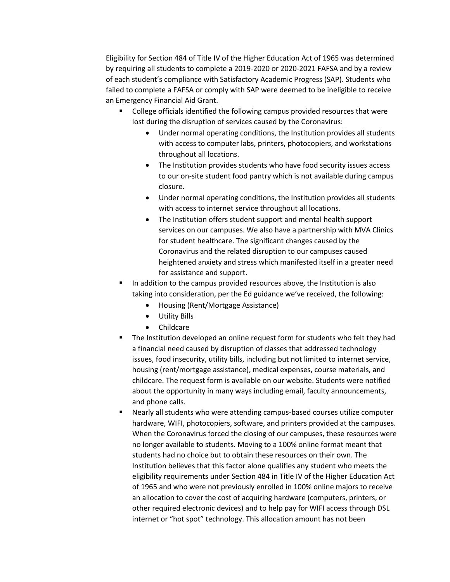Eligibility for Section 484 of Title IV of the Higher Education Act of 1965 was determined by requiring all students to complete a 2019-2020 or 2020-2021 FAFSA and by a review of each student's compliance with Satisfactory Academic Progress (SAP). Students who failed to complete a FAFSA or comply with SAP were deemed to be ineligible to receive an Emergency Financial Aid Grant.

- College officials identified the following campus provided resources that were lost during the disruption of services caused by the Coronavirus:
	- Under normal operating conditions, the Institution provides all students with access to computer labs, printers, photocopiers, and workstations throughout all locations.
	- The Institution provides students who have food security issues access to our on-site student food pantry which is not available during campus closure.
	- Under normal operating conditions, the Institution provides all students with access to internet service throughout all locations.
	- The Institution offers student support and mental health support services on our campuses. We also have a partnership with MVA Clinics for student healthcare. The significant changes caused by the Coronavirus and the related disruption to our campuses caused heightened anxiety and stress which manifested itself in a greater need for assistance and support.
- In addition to the campus provided resources above, the Institution is also taking into consideration, per the Ed guidance we've received, the following:
	- Housing (Rent/Mortgage Assistance)
	- Utility Bills
	- Childcare
- The Institution developed an online request form for students who felt they had a financial need caused by disruption of classes that addressed technology issues, food insecurity, utility bills, including but not limited to internet service, housing (rent/mortgage assistance), medical expenses, course materials, and childcare. The request form is available on our website. Students were notified about the opportunity in many ways including email, faculty announcements, and phone calls.
- Nearly all students who were attending campus-based courses utilize computer hardware, WIFI, photocopiers, software, and printers provided at the campuses. When the Coronavirus forced the closing of our campuses, these resources were no longer available to students. Moving to a 100% online format meant that students had no choice but to obtain these resources on their own. The Institution believes that this factor alone qualifies any student who meets the eligibility requirements under Section 484 in Title IV of the Higher Education Act of 1965 and who were not previously enrolled in 100% online majors to receive an allocation to cover the cost of acquiring hardware (computers, printers, or other required electronic devices) and to help pay for WIFI access through DSL internet or "hot spot" technology. This allocation amount has not been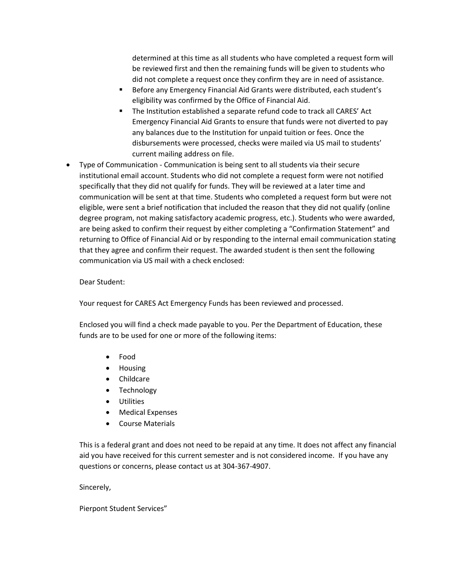determined at this time as all students who have completed a request form will be reviewed first and then the remaining funds will be given to students who did not complete a request once they confirm they are in need of assistance.

- Before any Emergency Financial Aid Grants were distributed, each student's eligibility was confirmed by the Office of Financial Aid.
- The Institution established a separate refund code to track all CARES' Act Emergency Financial Aid Grants to ensure that funds were not diverted to pay any balances due to the Institution for unpaid tuition or fees. Once the disbursements were processed, checks were mailed via US mail to students' current mailing address on file.
- Type of Communication Communication is being sent to all students via their secure institutional email account. Students who did not complete a request form were not notified specifically that they did not qualify for funds. They will be reviewed at a later time and communication will be sent at that time. Students who completed a request form but were not eligible, were sent a brief notification that included the reason that they did not qualify (online degree program, not making satisfactory academic progress, etc.). Students who were awarded, are being asked to confirm their request by either completing a "Confirmation Statement" and returning to Office of Financial Aid or by responding to the internal email communication stating that they agree and confirm their request. The awarded student is then sent the following communication via US mail with a check enclosed:

#### Dear Student:

Your request for CARES Act Emergency Funds has been reviewed and processed.

Enclosed you will find a check made payable to you. Per the Department of Education, these funds are to be used for one or more of the following items:

- Food
- Housing
- Childcare
- Technology
- Utilities
- Medical Expenses
- Course Materials

This is a federal grant and does not need to be repaid at any time. It does not affect any financial aid you have received for this current semester and is not considered income. If you have any questions or concerns, please contact us at 304-367-4907.

Sincerely,

Pierpont Student Services"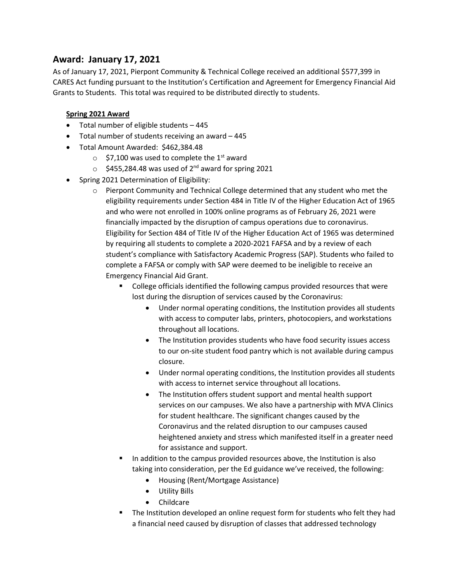## **Award: January 17, 2021**

As of January 17, 2021, Pierpont Community & Technical College received an additional \$577,399 in CARES Act funding pursuant to the Institution's Certification and Agreement for Emergency Financial Aid Grants to Students. This total was required to be distributed directly to students.

#### **Spring 2021 Award**

- Total number of eligible students 445
- Total number of students receiving an award 445
- Total Amount Awarded: \$462,384.48
	- $\circ$  \$7,100 was used to complete the 1<sup>st</sup> award
	- $\circ$  \$455,284.48 was used of 2<sup>nd</sup> award for spring 2021
- Spring 2021 Determination of Eligibility:
	- $\circ$  Pierpont Community and Technical College determined that any student who met the eligibility requirements under Section 484 in Title IV of the Higher Education Act of 1965 and who were not enrolled in 100% online programs as of February 26, 2021 were financially impacted by the disruption of campus operations due to coronavirus. Eligibility for Section 484 of Title IV of the Higher Education Act of 1965 was determined by requiring all students to complete a 2020-2021 FAFSA and by a review of each student's compliance with Satisfactory Academic Progress (SAP). Students who failed to complete a FAFSA or comply with SAP were deemed to be ineligible to receive an Emergency Financial Aid Grant.
		- College officials identified the following campus provided resources that were lost during the disruption of services caused by the Coronavirus:
			- Under normal operating conditions, the Institution provides all students with access to computer labs, printers, photocopiers, and workstations throughout all locations.
			- The Institution provides students who have food security issues access to our on-site student food pantry which is not available during campus closure.
			- Under normal operating conditions, the Institution provides all students with access to internet service throughout all locations.
			- The Institution offers student support and mental health support services on our campuses. We also have a partnership with MVA Clinics for student healthcare. The significant changes caused by the Coronavirus and the related disruption to our campuses caused heightened anxiety and stress which manifested itself in a greater need for assistance and support.
		- In addition to the campus provided resources above, the Institution is also taking into consideration, per the Ed guidance we've received, the following:
			- Housing (Rent/Mortgage Assistance)
			- Utility Bills
			- Childcare
		- The Institution developed an online request form for students who felt they had a financial need caused by disruption of classes that addressed technology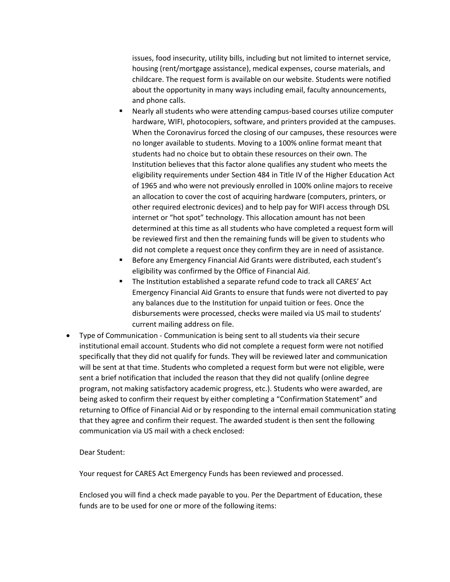issues, food insecurity, utility bills, including but not limited to internet service, housing (rent/mortgage assistance), medical expenses, course materials, and childcare. The request form is available on our website. Students were notified about the opportunity in many ways including email, faculty announcements, and phone calls.

- Nearly all students who were attending campus-based courses utilize computer hardware, WIFI, photocopiers, software, and printers provided at the campuses. When the Coronavirus forced the closing of our campuses, these resources were no longer available to students. Moving to a 100% online format meant that students had no choice but to obtain these resources on their own. The Institution believes that this factor alone qualifies any student who meets the eligibility requirements under Section 484 in Title IV of the Higher Education Act of 1965 and who were not previously enrolled in 100% online majors to receive an allocation to cover the cost of acquiring hardware (computers, printers, or other required electronic devices) and to help pay for WIFI access through DSL internet or "hot spot" technology. This allocation amount has not been determined at this time as all students who have completed a request form will be reviewed first and then the remaining funds will be given to students who did not complete a request once they confirm they are in need of assistance.
- Before any Emergency Financial Aid Grants were distributed, each student's eligibility was confirmed by the Office of Financial Aid.
- The Institution established a separate refund code to track all CARES' Act Emergency Financial Aid Grants to ensure that funds were not diverted to pay any balances due to the Institution for unpaid tuition or fees. Once the disbursements were processed, checks were mailed via US mail to students' current mailing address on file.
- Type of Communication Communication is being sent to all students via their secure institutional email account. Students who did not complete a request form were not notified specifically that they did not qualify for funds. They will be reviewed later and communication will be sent at that time. Students who completed a request form but were not eligible, were sent a brief notification that included the reason that they did not qualify (online degree program, not making satisfactory academic progress, etc.). Students who were awarded, are being asked to confirm their request by either completing a "Confirmation Statement" and returning to Office of Financial Aid or by responding to the internal email communication stating that they agree and confirm their request. The awarded student is then sent the following communication via US mail with a check enclosed:

Dear Student:

Your request for CARES Act Emergency Funds has been reviewed and processed.

Enclosed you will find a check made payable to you. Per the Department of Education, these funds are to be used for one or more of the following items: